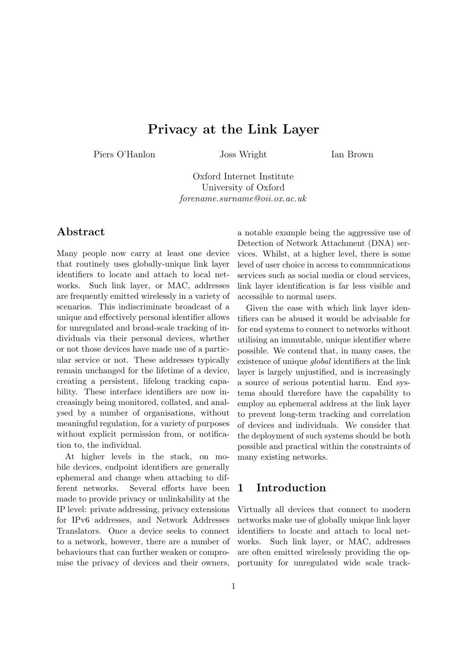# **Privacy at the Link Layer**

Piers O'Hanlon Joss Wright

Ian Brown

Oxford Internet Institute University of Oxford *forename.surname@oii.ox.ac.uk*

## **Abstract**

Many people now carry at least one device that routinely uses globally-unique link layer identifiers to locate and attach to local networks. Such link layer, or MAC, addresses are frequently emitted wirelessly in a variety of scenarios. This indiscriminate broadcast of a unique and effectively personal identifier allows for unregulated and broad-scale tracking of individuals via their personal devices, whether or not those devices have made use of a particular service or not. These addresses typically remain unchanged for the lifetime of a device, creating a persistent, lifelong tracking capability. These interface identifiers are now increasingly being monitored, collated, and analysed by a number of organisations, without meaningful regulation, for a variety of purposes without explicit permission from, or notification to, the individual.

At higher levels in the stack, on mobile devices, endpoint identifiers are generally ephemeral and change when attaching to different networks. Several efforts have been made to provide privacy or unlinkability at the IP level: private addressing, privacy extensions for IPv6 addresses, and Network Addresses Translators. Once a device seeks to connect to a network, however, there are a number of behaviours that can further weaken or compromise the privacy of devices and their owners,

a notable example being the aggressive use of Detection of Network Attachment (DNA) services. Whilst, at a higher level, there is some level of user choice in access to communications services such as social media or cloud services, link layer identification is far less visible and accessible to normal users.

Given the ease with which link layer identifiers can be abused it would be advisable for for end systems to connect to networks without utilising an immutable, unique identifier where possible. We contend that, in many cases, the existence of unique *global* identifiers at the link layer is largely unjustified, and is increasingly a source of serious potential harm. End systems should therefore have the capability to employ an ephemeral address at the link layer to prevent long-term tracking and correlation of devices and individuals. We consider that the deployment of such systems should be both possible and practical within the constraints of many existing networks.

## **1 Introduction**

Virtually all devices that connect to modern networks make use of globally unique link layer identifiers to locate and attach to local networks. Such link layer, or MAC, addresses are often emitted wirelessly providing the opportunity for unregulated wide scale track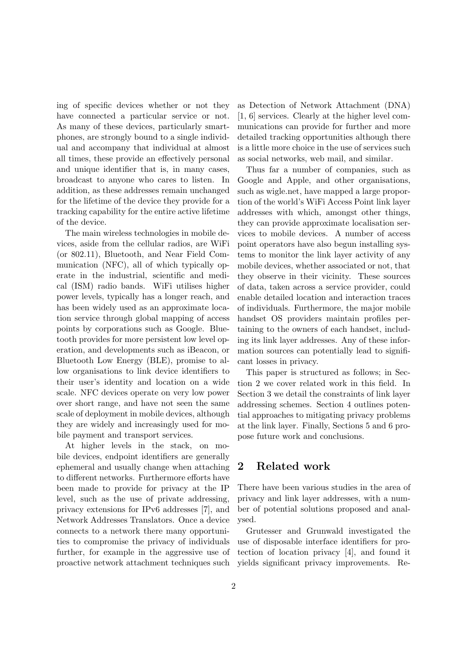ing of specific devices whether or not they have connected a particular service or not. As many of these devices, particularly smartphones, are strongly bound to a single individual and accompany that individual at almost all times, these provide an effectively personal and unique identifier that is, in many cases, broadcast to anyone who cares to listen. In addition, as these addresses remain unchanged for the lifetime of the device they provide for a tracking capability for the entire active lifetime of the device.

The main wireless technologies in mobile devices, aside from the cellular radios, are WiFi (or 802.11), Bluetooth, and Near Field Communication (NFC), all of which typically operate in the industrial, scientific and medical (ISM) radio bands. WiFi utilises higher power levels, typically has a longer reach, and has been widely used as an approximate location service through global mapping of access points by corporations such as Google. Bluetooth provides for more persistent low level operation, and developments such as iBeacon, or Bluetooth Low Energy (BLE), promise to allow organisations to link device identifiers to their user's identity and location on a wide scale. NFC devices operate on very low power over short range, and have not seen the same scale of deployment in mobile devices, although they are widely and increasingly used for mobile payment and transport services.

At higher levels in the stack, on mobile devices, endpoint identifiers are generally ephemeral and usually change when attaching to different networks. Furthermore efforts have been made to provide for privacy at the IP level, such as the use of private addressing, privacy extensions for IPv6 addresses [7], and Network Addresses Translators. Once a device connects to a network there many opportunities to compromise the privacy of individuals further, for example in the aggressive use of proactive network attachment techniques such

as Detection of Network Attachment (DNA) [1, 6] services. Clearly at the higher level communications can provide for further and more detailed tracking opportunities although there is a little more choice in the use of services such as social networks, web mail, and similar.

Thus far a number of companies, such as Google and Apple, and other organisations, such as wigle.net, have mapped a large proportion of the world's WiFi Access Point link layer addresses with which, amongst other things, they can provide approximate localisation services to mobile devices. A number of access point operators have also begun installing systems to monitor the link layer activity of any mobile devices, whether associated or not, that they observe in their vicinity. These sources of data, taken across a service provider, could enable detailed location and interaction traces of individuals. Furthermore, the major mobile handset OS providers maintain profiles pertaining to the owners of each handset, including its link layer addresses. Any of these information sources can potentially lead to significant losses in privacy.

This paper is structured as follows; in Section 2 we cover related work in this field. In Section 3 we detail the constraints of link layer addressing schemes. Section 4 outlines potential approaches to mitigating privacy problems at the link layer. Finally, Sections 5 and 6 propose future work and conclusions.

## **2 Related work**

There have been various studies in the area of privacy and link layer addresses, with a number of potential solutions proposed and analysed.

Grutesser and Grunwald investigated the use of disposable interface identifiers for protection of location privacy [4], and found it yields significant privacy improvements. Re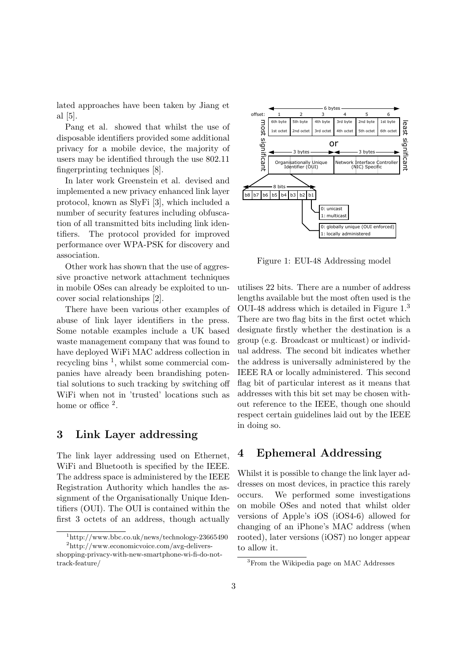lated approaches have been taken by Jiang et al [5].

Pang et al. showed that whilst the use of disposable identifiers provided some additional privacy for a mobile device, the majority of users may be identified through the use 802.11 fingerprinting techniques [8].

In later work Greenstein et al. devised and implemented a new privacy enhanced link layer protocol, known as SlyFi [3], which included a number of security features including obfuscation of all transmitted bits including link identifiers. The protocol provided for improved performance over WPA-PSK for discovery and association.

Other work has shown that the use of aggressive proactive network attachment techniques in mobile OSes can already be exploited to uncover social relationships [2].

There have been various other examples of abuse of link layer identifiers in the press. Some notable examples include a UK based waste management company that was found to have deployed WiFi MAC address collection in recycling bins <sup>1</sup>, whilst some commercial companies have already been brandishing potential solutions to such tracking by switching off WiFi when not in 'trusted' locations such as home or office <sup>2</sup>.

#### **3 Link Layer addressing**

The link layer addressing used on Ethernet, WiFi and Bluetooth is specified by the IEEE. The address space is administered by the IEEE Registration Authority which handles the assignment of the Organisationally Unique Identifiers (OUI). The OUI is contained within the first 3 octets of an address, though actually



Figure 1: EUI-48 Addressing model

utilises 22 bits. There are a number of address lengths available but the most often used is the OUI-48 address which is detailed in Figure 1.<sup>3</sup> There are two flag bits in the first octet which designate firstly whether the destination is a group (e.g. Broadcast or multicast) or individual address. The second bit indicates whether the address is universally administered by the IEEE RA or locally administered. This second flag bit of particular interest as it means that addresses with this bit set may be chosen without reference to the IEEE, though one should respect certain guidelines laid out by the IEEE in doing so.

## **4 Ephemeral Addressing**

Whilst it is possible to change the link layer addresses on most devices, in practice this rarely occurs. We performed some investigations on mobile OSes and noted that whilst older versions of Apple's iOS (iOS4-6) allowed for changing of an iPhone's MAC address (when rooted), later versions (iOS7) no longer appear to allow it.

<sup>1</sup>http://www.bbc.co.uk/news/technology-23665490 <sup>2</sup>http://www.economicvoice.com/avg-delivers-

shopping-privacy-with-new-smartphone-wi-fi-do-nottrack-feature/

<sup>3</sup>From the Wikipedia page on MAC Addresses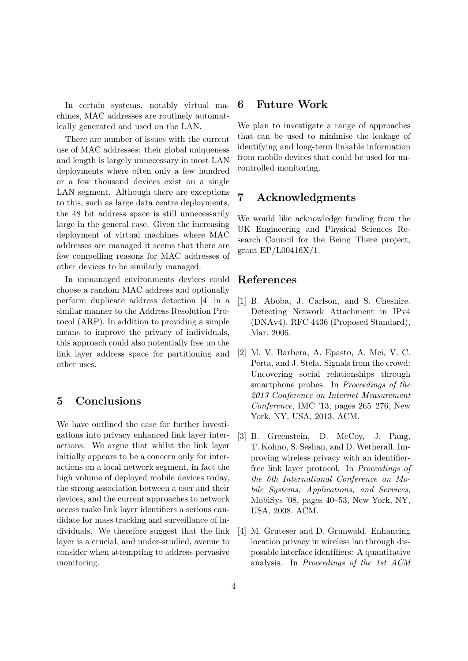In certain systems, notably virtual machines, MAC addresses are routinely automatically generated and used on the LAN.

There are number of issues with the current use of MAC addresses: their global uniqueness and length is largely unnecessary in most LAN deployments where often only a few hundred or a few thousand devices exist on a single LAN segment. Although there are exceptions to this, such as large data centre deployments, the 48 bit address space is still unnecessarily large in the general case. Given the increasing deployment of virtual machines where MAC addresses are managed it seems that there are few compelling reasons for MAC addresses of other devices to be similarly managed.

In unmanaged environments devices could choose a random MAC address and optionally perform duplicate address detection [4] in a similar manner to the Address Resolution Protocol (ARP). In addition to providing a simple means to improve the privacy of individuals, this approach could also potentially free up the link layer address space for partitioning and other uses.

#### **5 Conclusions**

We have outlined the case for further investigations into privacy enhanced link layer interactions. We argue that whilst the link layer initially appears to be a concern only for interactions on a local network segment, in fact the high volume of deployed mobile devices today, the strong association between a user and their devices, and the current approaches to network access make link layer identifiers a serious candidate for mass tracking and surveillance of individuals. We therefore suggest that the link layer is a crucial, and under-studied, avenue to consider when attempting to address pervasive monitoring.

#### **6 Future Work**

We plan to investigate a range of approaches that can be used to minimise the leakage of identifying and long-term linkable information from mobile devices that could be used for uncontrolled monitoring.

### **7 Acknowledgments**

We would like acknowledge funding from the UK Engineering and Physical Sciences Research Council for the Being There project, grant EP/L00416X/1.

#### **References**

- [1] B. Aboba, J. Carlson, and S. Cheshire. Detecting Network Attachment in IPv4 (DNAv4). RFC 4436 (Proposed Standard), Mar. 2006.
- [2] M. V. Barbera, A. Epasto, A. Mei, V. C. Perta, and J. Stefa. Signals from the crowd: Uncovering social relationships through smartphone probes. In *Proceedings of the 2013 Conference on Internet Measurement Conference*, IMC '13, pages 265–276, New York, NY, USA, 2013. ACM.
- [3] B. Greenstein, D. McCoy, J. Pang, T. Kohno, S. Seshan, and D. Wetherall. Improving wireless privacy with an identifierfree link layer protocol. In *Proceedings of the 6th International Conference on Mobile Systems, Applications, and Services*, MobiSys '08, pages 40–53, New York, NY, USA, 2008. ACM.
- [4] M. Gruteser and D. Grunwald. Enhancing location privacy in wireless lan through disposable interface identifiers: A quantitative analysis. In *Proceedings of the 1st ACM*